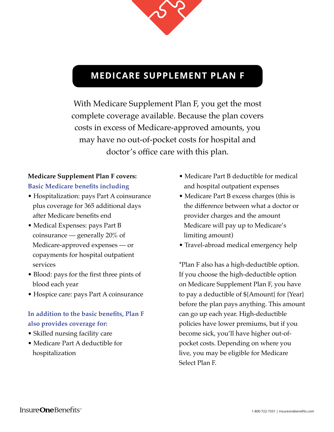

# **MEDICARE SUPPLEMENT PLAN F**

With Medicare Supplement Plan F, you get the most complete coverage available. Because the plan covers costs in excess of Medicare-approved amounts, you may have no out-of-pocket costs for hospital and doctor's office care with this plan.

### **Medicare Supplement Plan F covers: Basic Medicare benefits including**

- Hospitalization: pays Part A coinsurance plus coverage for 365 additional days after Medicare benefits end
- Medical Expenses: pays Part B coinsurance — generally 20% of Medicare-approved expenses — or copayments for hospital outpatient services
- Blood: pays for the first three pints of blood each year
- Hospice care: pays Part A coinsurance

## **In addition to the basic benefits, Plan F also provides coverage for:**

- Skilled nursing facility care
- Medicare Part A deductible for hospitalization
- Medicare Part B deductible for medical and hospital outpatient expenses
- Medicare Part B excess charges (this is the difference between what a doctor or provider charges and the amount Medicare will pay up to Medicare's limiting amount)
- Travel-abroad medical emergency help

\*Plan F also has a high-deductible option. If you choose the high-deductible option on Medicare Supplement Plan F, you have to pay a deductible of \${Amount} for {Year} before the plan pays anything. This amount can go up each year. High-deductible policies have lower premiums, but if you become sick, you'll have higher out-ofpocket costs. Depending on where you live, you may be eligible for Medicare Select Plan F.